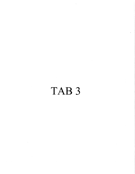# TAB<sub>3</sub>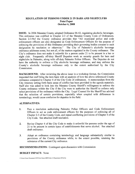#### REGULATION OF PERSONS UNDER 21 IN BARS AND NIGHTCLUBS Point Paper October 6, 2008

**ISSUE:** In 2006 Manatee County adopted Ordinance 06-42, regulating alcoholic beverages. This ordinance was codified in Chapter 2-3 of the Manatee County Code of Ordinances. ISSUE: In 2006 Manatee County adopted Ordinance 06-42, regulating alcoholic beverages.<br>This ordinance was codified in Chapter 2-3 of the Manatee County Code of Ordinances.<br>Section 2-3-9of the County ordinance provides that enforcement officers are also designated as Code Enforcement Officers for the purpose of enforcing the provisions of this Ordinance providing their governing bodies consent to such designation by resolution or otherwise." The City of Palmetto's alcoholic beverage **ISSUE:** In 2006 Manatee County adopted Ordinance 06-42, regulating alcoholic beverages.<br>This ordinance was codified in Chapter 2-3 of the Manatee County Code of Ordinances.<br>Section 2-3-90f the County ordinance provides t ordinance addresses some, but not all, of the matters regulated in the County ordinance. The designation by resolution or otherwise." The ordinance addresses some, but not all, of the matte City's ordinance does not make it unlawful for a night club. Frequently off-duty Sheriff Deputi City's ordinance does not make it unlawful for a person under 21 to be present in a bar or night club. Frequently off-duty Sheriff Deputies work as security guards for bars and nightalishes in Polimetto clone with off-duty night club. Frequently off-duty Sheriff Deputies work as security guards for bars and<br>nightclubs in Palmetto, along with off-duty Palmetto Police Officers. The Deputies do not<br>have the outhough the original of City also ha have the authority to enforce a City alcoholic beverage ordinance, and may enforce the County's alcoholic beverage ordinance only to the extent authorized by the City City's ordinance does not make it unlawful for a person under 21 to be present in a bar or might club. Frequently off-duty Sheriff Deputies work as security guards for bars and nightclubs in Palmetto, along with off-duty P Commission

BACKGROUND: After reviewing the above issue in a workshop format, the Commission requested that staff bring the item back with an analysis of how the above referenced County ordinance compared to Chapter 4 of the City Code of ordinances. A memorandum from the City Attorney setting forth basic areas of conflict has been provided in the agenda materials.<br>Staff also was asked to look into the Manatee County Sheriff's willingness to enforce the **BACKGROUND:** After reviewing the above issue in a workshop format, the Commission requested that staff bring the item back with an analysis of how the above referenced County ordinance compared to Chapter 4 of the City Co County ordinance within the City if the City were to authorize the Sheriff to enforce only select provisions of the ordinance within the City. Legal Counsel for the Sheriff has advised that the selection of certain provisions especially when coupled with differences in terminology, would cause confusion for deputies in the field.

#### ALTERNATIVES

- 1. Pass a resolution authorizing Palmetto Police Officers and Code Enforcement Officers to act as code enforcement officers for the purposes of enforcing all of Chapter 2-3 of the County Code, and repeal conflicting provisions of Chapter 4 of the City Code. See attached draft resolution.
- 2. Revise Chapter 4 of the City Code to make it unlawful for persons under the age of 21 to be present in certain types of establishments that serve alcohol. See attached draft ordinance
- 3. Adopt an ordinance containing terminology and language substantially similar to provisions of the County ordinance while, to the extent possible, retaining the substance of the current City ordinance. provisions of<br>substance of the<br>RECOMMENDATI<br>BUDGET IMPACT:<br>c:\Users\Owner\Documents\COP\Point l

RECOMMENDATIONS: Contingent upon discussion with Commission

#### **BUDGET IMPACT: None**

C:\Users\Owner\Documents\COP\Point Papers 2008\Under 21 Requirement (2).Pp.Doc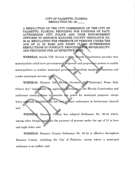#### CITY OF PALMETTO, FLORIDA RESOLUTION NO. 08-

A RESOLUTION OF THE CITY COMMISSION OF THE CITY OF PALMETTO, FLORIDA; PROVIDING FOR FINDINGS OF FACT; AUTHORIZING CITY POLICE AND CODE ENFORCEMENT OFFICERS TO ENFORCE MANATEE COUNTY ORDINANCE NO 0642 REGULATING THE PRESENCE OF PERSONS UNDER THE AGE OF 21 IN BARS AND NIGHT CLUBS; SUPERSEDING RESOLUTIONS IN CONFLICT; PROVIDING FOR SEVERABILITY;<br>AND PROVIDING FOR AN EFFECTIVE DATE. 06-42, REGULATING THE PRESENCE OF PEI<br>AGE OF 21 IN BARS AND NIGHT CLU<br>RESOLUTIONS IN CONFLICT; PROVIDING F<br>AND PROVIDING FOR AN EFFECTIVE DATE.

WHEREAS, Article VIII, Section 2 of the Florida Constitution provides that municipalities shall have governmental, corporate and proprietary powers to enable municipalities to conduct municipal government, perform municipal functions and render municipal services; and

Powers Act," implements the applicable provisions of the Florida Constitution and authorizes municipalities to exercise any power for municipal purposes, except when expressly prohibited by law and to enact ordinances in furtherance thereof. and Statutes, the "Municipal Home Rule municipal services; and<br>WHEREAS, Chapter 166, Florida

WHEREAS, Manatee County has adopted Ordinance No. 06.42 which, among other things, regulates the presence of persons under the age of 21 in bars and night clubs; and

WHEREAS, Manatee County Ordinance No. 06.42 is effective throughout Manatee County, including the City of Palmetto, except where a municipal ordinance is in conflict; and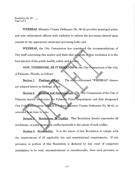Resolution No. 08 -Page <sup>2</sup> of <sup>4</sup>

WHEREAS, Manatee County Ordinance No. 06.42 provides municipal police and code enforcement officers with authority to enforce the provisions thereof upon consent by the appropriate municipal governing body; and

WHEREAS, the City Commission has considered the recommendations of City staff concerning this matter and finds that adoption of this resolution is in the best interest of the public health, safety and welfare. ti Example 12 and the state and finds that adoption of this resolution is in the interest of the public health, safety and welfare.<br>NOW, THEREFORE, BE IT RESOLVED by the City Commission of the City

of Palmetto, Florida, as follows: public health, safety and welfare.<br>
REFORE, BE IT RESOLVED by the City Commission of the City<br>
a, as follows:<br>
Findings of Fact. The above referenced "WHEREAS" clauses<br>
as findings of fact.

Section 1 u are adopted herein as findings of fact. z

Section 2 the City Commission has considered the recommendations of<br>g this matter and finds that adoption of this resolution is in the<br>ublic health, safety and welfare.<br>EFORE, BE IT RESOLVED by the City Commission of the City<br>, as f Consent and Authorization. The City Commission of the City of Palmetto hereby authorizes the Palmetto Police Department and duly designated Y City staff concerning this matter and finds that adoption of this resolution is in the best interest of the public health, safety and welfare.<br>
NOW, THEREFORE, BE IT RESOLVED by the City Commission of the City of Palmetto, amended from time to time.

Section 8. Resolutions In Conflict. This Resolution hereby supersedes all resolutions, or parts thereof, in conflict here with to the extent of such conflict. Expediance of the Resolutions of the Conflict. This Resolution hereby superficient and the extent of such conflict.<br>
Section 4. Severability It is the intent of this Resolution to complete

Section 4. Severability. It is the intent of this Resolution to comply with the requirements of all applicable law and constitutional requirements. If any provision or portion of this Resolution is declared by any court of competent jurisdiction to be void, unconstitutional or unenforceable, then such provision or

 $-2-$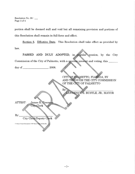Resolution No. 08 -Page <sup>3</sup> of <sup>4</sup>

portion shall be deemed null and void but all remaining provision and portions of this Resolution shall remain in full force and effect

law Section 5. Effective Date. This Resolution shall take effect as provided by

PASSED AND DULY ADOPTED, in regular session, by the City Commission of the City ofPalmetto with <sup>a</sup> <sup>a</sup> ori pres t Commission of the City of Palmetto, with a quorum present and voting, this \_\_\_\_\_

 $Bv$ 

day of  $\qquad \qquad .2008.$ 

CITY OF PALMETTO, FLORIDA, BY AND THROUGH THE CITY COMMISSION OF THE CLIY OF PALMETTO

MORE BUSTLE, JR., MAYOR

s

ATTEST: James R. Freeman

 $By:$ ST: James R. Free<br>City Clerk<br>City Clerk/Deputy<br>er\Documents\COP\Resos\Bedger 21 Res.Do

C:\Users\Owner\Documents\COP\Resos\Under 21 Res.Doc

 $-3-$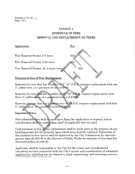Resolution No. 08 -Page <sup>4</sup> of <sup>4</sup>

## EXHIBIT A SCHEDULE OF FEES REMOVAL AND REPLACEMENT OF TREES

\$10

\$25

\$50

#### Application Fee

Tree Removal Permit, 0-5 trees

Tree Removal Permit, 6-25 trees

Tree Removal Permit, 26 or more trees

Removal of a tree that has a cal Payment in lieu of Tree Replace<br>Removal of a tree that has a cali<br>3" caliber tree, or a payment in l <sup>s</sup> replacement with one

Removal of a tree that has a caliber of  $16^{\circ}$  30" D.B.H. requires replacement with three  $3$ " caliber trees, or a payment in lieu of  $$1800$ 

Removal of a tree that has a caliber over 30" D.B.H. requires replacement with four 5" caliber trees, or a payment in lieu of \$2900

#### Important Notes:

Important Fores.<br>Non-refundable fees shall be paid upon filing the application or request, and no consideration shall be undertaken until all applicable fees are paid.

Cash payment in lieu of tree replacement shall be made prior to the issuance of any<br>building permit for the property upon which trees must be replaced. Utilization of<br>the payment in lieu option shall be approved by the Cit Non-refundable fees shall be paid upon filing the application or request, and no<br>consideration shall be undertaken until all applicable fees are paid.<br>Cash payment in lieu of tree replacement shall be made prior to the iss consideration shall be undertaken until all applicable lees are paid.<br>Cash payment in lieu of tree replacement shall be made prior to the issuance of any<br>building permit for the property upon which trees must be replaced. Cash payment in lieu of tree<br>building permit for the prope<br>the payment-in-lieu option s<br>greater than \$5,000.00 or th<br>thousand dollars \$5,000.00.<br>Annlicants shall be responsil Consideration shall be undert<br>Cash payment in lieu of tree :<br>building permit for the prope:<br>the payment in lieu option sh<br>greater than \$5,000.00 or the<br>thousand dollars \$5,000.00.<br>Applicants shall be responsib<br>consulting s

Applicants shall be responsible to the City for the actual cost of professional thousand dollars \$5,000.00.<br>Applicants shall be responsible to the City for the actual cost of professional<br>consulting services associated with the City's review and consideration of submitted<br>applications, including but n consulting services associated with the City's review and consideration of submitted greater than \$0,000.00 or the thousand dollars \$5,000.00.<br>
Applicants shall be responsible<br>
consulting services associated<br>
applications, including but not<br>
CNUsers\Owner\Documents\COP\Resos\Tree removal fees.reso.doc

 $-4-$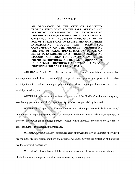#### ORDINANCE 0

AN ORDINANCE OF THE CITY OF PALMETTO. FLORIDA PERTAINING TO THE SALE, SERVING AND ALLOWING CONSUMPTION OF INTOXICATING LIQUORS BY PERSONS UNDER THE AGE OF TWENTY-ONE; REGULATING ACCESS BY PERSONS UNDER THE ORDINANCE 08-\_\_\_<br>AN ORDINANCE OF THE CITY OF PALMETTO,<br>FLORIDA PERTAINING TO THE SALE, SERVING AND<br>ALLOWING CONSUMPTION OF INTOXICATING<br>LIQUORS BY PERSONS UNDER THE AGE OF TWENTY-<br>ONE; REGULATING ACCESS BY PERSONS UNDER TH INTOXICATING LIQUORS ARE SOLI FOR THE USE OF FALSE IDENTIFICATION TO OBTAIN CONSUMPTION ON THE ON OF INTOXICATING<br>DER THE AGE OF TWENTY-<br>S BY PERSONS UNDER THE<br>ESTABLISHMENTS WHERE<br>RS ARE SOLD FOR<br>PREMISES ; PROHIBITING<br>NTIFICATION TO OBTAIN<br>NTS WHERE INTOXICATING ELEOWING CONSOMETION OF INTOXICATING<br>LIQUORS BY PERSONS UNDER THE AGE OF TWENTY-<br>ONE; REGULATING ACCESS BY PERSONS UNDER THE<br>AGE OF TWENTY-ONE TO ESTABLISHMENTS WHERE<br>INTOXICATING LIQUORS ARE SOLD FOR<br>CONSUMPTION ON THE PR FLORIDA PERTAINING TO THE SALE, SERVING AND<br>ALLOWING CONSUMPTION OF INTOXICATING<br>LIQUORS BY PERSONS UNDER THE AGE OF TWENTY-<br>ONE; REGULATING ACCESS BY PERSONS UNDER THE<br>AGE OF TWENTY-ONE TO ESTABLISHMENTS WHERE<br>INTOXICATIN PREMISES; PROVIDING FOR REPEAL IN CONFLICT; PROVIDING FOR SEVERABILITY; AND N OI<br>FRITHE<br>FRITABL<br>STABL<br>STABL<br>STABL<br>THE CONS<br>REPEA<br>FOR SH<br>TVE DA<br>TVE DA<br>TVE DA **EXAMPLE SOLD FOR<br>
FIMENTS WHERE<br>
SOLD FOR<br>
; PROHIBITING<br>
CON TO OBTAIN<br>
E INTOXICATING<br>
MPTION N THE<br>
OF ORDINANCES<br>
ERABILITY; AND** PROVIDING FOR AN EFFECTIVE DATE.

WHEREAS, Article VIII, Section 2 of the Florida Constitution provides that municipalities shall have governmental, corporate and proprietary powers to enable municipalities to conduct municipal government, perform municipal functions and render municipal services; and,

to the referenced provision of the Florida Constitution, a city may exercise any power for municipal purposes except as otherwise provided by law; and,

enact ordinances in furtherance thereof; and, Florida Statutes, the "Municipal Home Rule Powers Act,' implements the applicable provisions of the Florida Constitution and authorizes municipalities to exercise any power for municipal purposes, except when expressly prohibited by law and to

**WHEREAS**, within the above-referenced grant of powers, the City of Palmetto (the "City") has the authority to regulate conditions and activities within the City for the protection of the public health, safety and welfare; and

WHEREAS, Florida law prohibits the selling, serving or allowing the consumption of alcoholic beverages to persons under twenty-one  $(21)$  years of age; and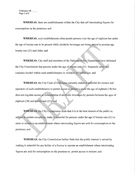WHEREAS, there are establishments within the City that sell intoxicating liquors for consumption on the premises; and

WHEREAS, such establishments often permit persons over the age of eighteen but under the age of twenty-one to be present while alcoholic beverages are being served to persons age twenty-one (21) and older; and provided to the premises; and<br>
WHEREAS, such establishments often permit persons over the age of et<br>
of twenty-one to be present while alcoholic beverages are being served to<br>
one (21) and older; and<br>
WHEREAS, City staff a

WHEREAS, City staff and members of the Palmetto Police Department have informed the City Commission that persons under the age of twenty-one  $(21)$  frequently WHEREAS, City staff and members of the Palmetto Police Departm<br>the City Commission that persons under the age of twenty-one (21) frequen<br>consume alcohol within such establishments in violation of Florida law; and

WHEREAS, the City Code of Ordinance currently makes it unlawful for owners and operators of such establishments to permit access to person's under the age of eighteen (18) but does not regulate access or consumption of alcoholic beverages by persons between the ages of

eighteen (18) and twenty-one<br>WHEREAS, the City<br>subject to certain exceptions,<br>enter or remain in an establish subject to certain exceptions, make it unlawful for persons under the age of twenty-one (21) to enter or remain in an establishment where intoxicating liquors are sold for consumption on the premises; and

WHEREAS, the City Commission further finds that the public interest is served by making it unlawful for any holder of <sup>a</sup> license to operate an establishment where intoxicating liquors are sold for consumption on the premises to permit access to minors; and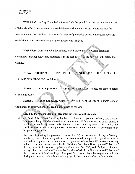WHEREAS, the City Commission further finds that prohibiting the use or attempted use of false identification to gain entry to establishments where intoxicating liquors are sold for consumption on the premises is a reasonable means of preventing access to alcoholic beverage establishments by persons under the age of twenty-one  $(21)$ ; and

proprion on the premises is a reasonable means of preventing access<br>hments by persons under the age of twenty-one (21); and<br>WHEREAS, consistent with the findings stated above, the City<br>ined that adoption of this ordinance Commission has determined that adoption of this ordinance is in the best interest of the public health, safety and welfare. WHEREAS, consistent with the findings stated above, the City Commission has<br>ned that adoption of this ordinance is in the best interest of the public health, safety and<br>NOW, THEREFORE, BE IT ORDAINED BY THE CITY OF<br>IETTO,

## PALMETTO, FLORIDA, as follows:

Section 1 Findings of Fact. The above "WHEREAS" clauses are adopted herein

as findings of fact.

Section 2. Revision Language. Chapter 4, Division4-4, of the City of Palmetto Code of

Ordinances is hereby amended to read in its entirety as follows:

### Sec. 4-4. Person's under 21 in alcoholic beverage establishments.

Sec. 4-4. Person's under 21 in alcoholic beverage establishments.<br>
(a) It shall be unlawful for any holder of a license to operate a saloon, bar, cocktail<br>
lounge or other place where intoxicating liquors are sold for cons to share be unlawful top any notice of a fitting to operate a satioon, bar, cocktant lounge or other place where intoxicating liquors are sold for consumption on the premises to allow or permit any person under the age of stroll, wander or loaf in such premises, unless such minor is attended or accompanied by his parent or guardian.

(b) Notwithstanding the provision of subsection (a), a person under the age of twenty-<br>and  $(21)$  veers without being attended are assumential by a narration aroundian, may be one (21) years, without being attended or accompanied by a parent or guardian, may be allowed to be present at and remain on the premises of any bona fide restaurant or any holder of a special license issued by the Division of Alcoholic Beverages and Tobacco of the Department of Business Regulation under section 561.20(2) and (7), Florida Statutes, or any rules issued under said statute by Di or any rules issued under said statute by Division of Alcoholic Beverages and Tobacco of the Department of Business Regulation; provided, that alcoholic beverages are sold only during the time such holder is actively engaged in the primary business of the holder.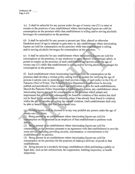(c) It shall be unlawful for any person under the age of twenty-one  $(21)$  to enter or remain on the premises of any establishment where intoxicating liquors are sold for consumption on the premises while that establishment is selling and/or serving alcoholic beverages for consumption on the premises

(d) It shall be unlawful for any person to present any false, altered or otherwise<br>fraudulent proof of age to attempt to gain entry to, any establishment where into<br>liquors are sold for consumption on the premises while t fraudulent proof of age to attempt to gain entry to, any establishment where intoxicating liquors are sold for consumption on the premises while that establishment is selling and/or serving alcoholic beverages for consumption on the premises.

fraudulent proof of age to attempt to gain entry to, any establishment where intoxicating<br>liquors are sold for consumption on the premises while that establishment is selling<br>and/or serving alcoholic beverages for consumpt (c) It shall be unlawful for any person under the age of twenty-one (21) to enter or<br>remain on the premises of any establishment where intoxicating liquors are sold for<br>consumption on the premises while that establishment (e) It shall be unlawful for any establishment where intoxicating liquors are consumption on the premises, or any employee or agent thereof, to knowing permit to remain on the premises of such establishment any person unde permit to remain on the premises of such establishment any person under the age of twenty-one (21) while that establishment is selling and/or serving alcoholic beverages for consumption on the premises

Each establishment where intoxicating liquors are sold for consumption on the<br>pises shall develop a written policy setting forth its system for verifying the age premises shall develop a written policy setting forth its system for verifying the age of persons it admits onto its premises and shall provide a copy of such policy to the City of Palmetto Chief of Police. The Palmetto Police Department is authorized to develop. persons it admits onto its premises and shart provide a copy of such policy to the City of<br>Palmetto Chief of Police. The Palmetto Police Department is authorized to develop,<br>publish and periodically revise a model age veri persons it admits onto its premises and shall provide a copy of such policy to the City of<br>
Palmetto Chief of Police. The Palmetto Police Department is authorized to develop,<br>
publish and periodically revise a model age ve implements that intoxicating lique<br>implements that<br>not be fined for<br>within the six (6 within the six (6) months preceding the current violation. Each establishment shall only be able to benefit from this fine forbearance once. rving alcoho<br>for consumpt<br>em for verify<br>of such polic<br>s authorized<br>em for such<br>tem, any esta for consumption on the<br>em for verifying the age<br>of such policy to the Ci<br>s authorized to develop,<br>em for such establishm<br>tem, any establishment lice Department is authorized to deve<br>e verification system for such establish<br>blish a model system, any establishm<br>on on the premises which adopts and<br>be found in violation of this section be found in violation of this section but shall not be fined for an unintentional violation unless it has already been found in violation blish a model system, any establishment whe<br>on on the premises which adopts and<br>be found in violation of this section but shall<br>unless it has already been found in violation<br>rrent violation. Each establishment shall only<br>s

 $(g)$ . Nothing herein shall be deemed to in any way prohibit any person under the age of

Being present in an establishment where intoxicating liquors are sold for on the premises as an employee of that establishment to perform work

duties;<br>
(2) Being present in an establishment where intoxicating liquors are sold for<br>
consumption on the premises pursuant to an agreement with that establishment to provide (g) Nothing herein shall be deemed to in any way prohibit any person under the age of twenty-one (21) from:<br>
(1) Being present in an establishment where intoxicating liquors are sold for consumption on the premises as an some service, including providing security, maintenance, or entertainment to the establishment or its patrons;

(3) Being present in an establishment where intoxicating liquors are sold for consumption on the premises for the purposes of making a delivery of goods to that establishment

4 Being present in <sup>a</sup>alcoholic beverage establishment while performing <sup>a</sup> public or legal duty, such as law enforcement, fire suppression, building inspection, or health inspection;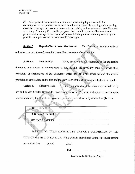é

5 Being present in an establishment where intoxicating liquars are sold for consumption on the premises when such establishment is not then selling and/or serving alcoholic beverages but is otherwise open to the public, such as when such establishment is holding a "teen night" or similar program. Such establishment shall ensure that all (5) Being present in an establishment where intoxicating liquors are sold for consumption on the premises when such establishment is not then selling and/or ser alcoholic beverages but is otherwise open to the public, suc is holding a "teen night" or similar program. Such establishment shall ensure that all<br>persons under the age of twenty-one (21) have left the premises after any such program<br>mise to resume the aforestion of also hall in hi prior to resumption of service of alcoholic beverages.

persons under the age of twenty-one (21) have left the premises after any such program<br>prior to resumption of service of alcoholic beverages.<br>Section 3. Repeal of Inconsistent Ordinances. This Ordinance hereby repeals all<br> Section 3. Repeal of Inconsistent Ordinances. This Ordinances, or parts thereof, in conflict herewith to the extent of such conflict.

state of such conflict.<br>Section 4. Severability. If any provision of this Ordinance or the application thereof to any person or circumstances is held invalid, the invalidity shall not affect other provisions or applications of the Ordinance which can be given effect without the invalid provision or application, and to this end the provisions of this Ordinance are declared severable.

Section 5. Effective Date. This Ordinance shall take effect as provided for by law and by City Charter reconsideration by the City Commission and passing of the Ordinance by at least four (4) votes. 4.4 upon execution by the Mayor or, if disapproval occurs, upon 4, upon execution by the Mayor or, if disapproval occurs,<br>ssion and passing of the Ordinance by at least four (4) votes.

|                                                                                                                                                                                                   | <b>MARINE A</b><br>5.5315355333858312<br>A 23 Monroe of Victor class \$1000<br>a bulgar composition of the<br><b>CONTRACTORS AND CONTRACT</b>                                                                          | 00/2012<br>m<br><b>TELP</b>                                                                                      |
|---------------------------------------------------------------------------------------------------------------------------------------------------------------------------------------------------|------------------------------------------------------------------------------------------------------------------------------------------------------------------------------------------------------------------------|------------------------------------------------------------------------------------------------------------------|
|                                                                                                                                                                                                   | <b>FIRST READING</b><br>,,,,,,,,,,,,,<br><b>Report Follows</b><br><b>COMMISSIONS</b>                                                                                                                                   | ,,,,,,,,,,,,,,,,<br>Service Commercial Commercial<br><b>SEATTLE COORDINATION CONTINUES.</b><br><b>Contractor</b> |
| <b>READY</b><br>all and the fact<br>$-200$<br><b>Addressed</b><br><b><i><u>ACCESSORIA</u></i></b><br>and the following company<br>------<br><b>CONTRACTOR</b><br>110003-006<br>11121223<br>$-122$ | PUBLICATION DATE<br><b>A</b><br>020010200200000<br>en el compo del para la contra del co<br>by the extra the company's con-<br><b>Search Contact Contact</b><br><b>College contract of the collect</b><br>,,,,,,,,,,,, |                                                                                                                  |
|                                                                                                                                                                                                   | <b>SECOND READING</b><br>ALSO DESIGNED AND ANY AN<br>------<br>------                                                                                                                                                  |                                                                                                                  |

PASSED AND DULY ADOPTED, BY THE CITY COMMISSION OF THE CITY OF PALMETTO, FLORIDA, with a quorum present and voting, in regular session assembled, this  $\_\_\_$ , day of  $\_\_\_$ , 2008.

By:

Lawrence E. Bustle, Jr., Mayor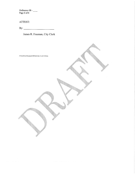Ordinance 08 Page <sup>6</sup> of <sup>6</sup>

ATTEST

By

James R. Freeman, City Clerk

C:\Users\Owner\Documents\COP\Ords\Under 21 ord 9.30.08.doc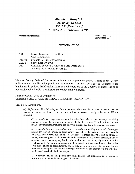# Míchele S. Hall, P.L.<br>Attorney at Law Míchele S. Hall, P.L.<br>Attorney at Law<br>505 25<sup>th</sup> Street West<br>denton: Florída:24 Míchele S. Hall, P.L.<br>Attorney at Law<br>505 25<sup>th</sup> Street West<br>Bradenton, Florída 34205<br>MEMORANDUM

mshlawoffice@gmail com

(941)745-1920 phone<br>(913)423-5556 for (941)745-1920 ph<br>(813)433-5556 fax

#### MEMORANDUM

| TO:                   | Mayor Lawrence E. Bustle, Jr.<br>City Commission                                                                                       |
|-----------------------|----------------------------------------------------------------------------------------------------------------------------------------|
| FROM:<br>DATE:<br>RE: | Michele S. Hall, City Attorney<br>September 30, 2008<br>Conflicts between County and City Ordinances<br>Regulating Alcoholic Beverages |

Manatee County Code of Ordinances, Chapter 2-3 is provided below. Terms in the County ordinance that conflict with provisions of Chapter 4 of the City Code of Ordinances are highlighted in yellow. Brief explanations as to why portions of the County's ordinance do or do not conflict with the City's ordinance Manatee County Code of Ordinances, Chapter 2-3 is provided below. Terms in the County ordinance that conflict with provisions of Chapter 4 of the City Code of Ordinances are highlighted in yellow. Brief explanations as to

Manatee County Code of Ordinances Manatee County Code of Ordinances<br>Chapter 2-3 ALCOHOLIC BEVERAGE RELATED REGULATIONS not conflict with the Cit<br>Manatee County Code<br>Chapter 2-3 ALCOHO<br>Sec. 2-3-1. Definitions<br>(a) Definitions.

(a) Definitions. The following words and phrases, when used in this chapter, shall have the meanings ascribed to them in this section, unless the context clearly indicates a different meaning:

(1) Alcoholic beverage means any spirit, wine, beer, ale or other beverage containing one-half of one  $(0.5)$  per cent or more of alcohol by volume. This definition does not include any medicine, including cough syrup, designed and sold for medical purposes.

(2) Alcoholic beverage establishment or establishment dealing in alcoholic beverages means any person, group, or legal entity licensed by the state division of alcoholic beverages and tobacco for the sale of alcoholic beverages and who sells or otherwise trades, transfers, gives or dispenses alcoholic beverages to customers, patrons, members or other persons, including any bottle club, hotel, motel, restaurant, night-club, or similar establishment. This definition does not include private residences and social, fraternal or civic associations or organizations which only occasionally provide facilities for on premises consumption of alcoholic beverages for members and their guests and which are not licensed to sell alcoholic beverages

(3) Operator means any person physically present and managing or in charge of operations of an alcoholic beverage establishment.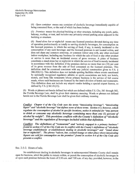(4) Open container means any container of alcoholic beverage immediately capable of being consumed from, or the seal of which has been broken.

 $(5)$  Premises means the physical building or other structure, including any porch, patio, balcony, rooftop, or tent, and includes any privately-owned parking areas adjacent to the building or structure.

(6) Stand alone bar or nightclub means any licensed premises devoted during any time of operation predominantly or totally to serving alcoholic beverages, for consumption on the licensed premises; in which the serving of food, if any, is merely incidental to the consumption of any such beverage; and the licensed premises is not located within, and does not share any common entryway, or common indoor area with, any other enclosed indoor workplace, including any business for which the sale of food or any other product or service is more than an incidental source of gross revenue A place of business constitutes a stand alone bar or nightclub in which the service of food is merely incidental in accordance with this definition if the premises derives no more than ten  $(10)$  per cent of its gross revenue from the sale of food consumed on the licensed premises. This<br>definition shall be construed consistent with any judicial construction given to F.S. §<br>386.203(11). This definition does not include sport by nationally recognized regulatory athletic or sports associations are held; nor hotels, motels, and bona fide restaurants whose primary business is the service of full course meals, where such businesses are licensed by the state's division of hotels and restaurants. meals, where such businesses are licensed by the state's division of hotels and restaurants.<br>This definition does not include any airport vendor holding a special airport license, as<br>defined by F.S. § 561.01(13). defined by F.S.  $\S$  561.01(13).<br>(b) Words or phrases not herein defined but which are defined within F.S. Chs. 561 through 565,

the Florida Beverage Law, shall be given their statutory meaning. Words or phrases not defined herein nor in the Florida Beverage Law shall be given their ordinary meaning.

Conflict: Chapter 4 of the City Code uses the terms "intoxicating beverage", "intoxicating liquor" and "alcoholic beverage" but defines none of these terms. Section 4-3, however, which<br>regulates the consumption of alcohol in specific locations, makes it unlawful for "any person Conflict: Chapter 4 of the City Code uses the terms "intoxicating beverage", "intoxicating<br>liquor" and "alcoholic beverage" but defines none of these terms. Section 4-3, however, which<br>regulates the consumption of alcohol to drink or consume any alcoholic beverage containing more than one (1) percent of<br>alcohol by weight". This provisions conflicts with the County's definition of "alcoholic Conflict: Chapter 4 of the City Code uses the terms "intoxicating beverage", "intoxicating<br>liquor" and "alcoholic beverage" but defines none of these terms. Section 4-3, however, which<br>regulates the consumption of alcohol beverage" and the regulation of beverages included within that definition.

**Conflict:** The definitions of "restaurant" and "actively engaged in a primary business" found by weight". This provisions conflicts with the County's definition of "alcoholic<br>alcohol by weight". This provisions conflicts with the County's definition of "alcoholic<br>beverage" and the regulation of beverages incl between the action 4-5 of the City Code are in conflict with the County's definitions of "alcoholic beverage establishment or establishment dealing in alcoholic beverages" and "stand alone har are nightclub". The phrase "s beverage establishment or establishment dealing in alcoholic beverages" and "stand alone<br>bar or nightclub". The phrase "saloon, bar, cocktail lounge or other place where intoxicating<br>liquors are sold for consumption on the *found in section 4-*<br>beverage establish<br>bar or nightclub".<br>liquors are sold fo<br>presents a conflict.

#### Sec. 2-3-2. Hours of sale.

No establishment dealing in alcoholic beverages in unincorporated Manatee County shall remain open for business, admit the public to remain within, or permit the consumption of alcoholic beverages in or upon such premises between the hours of 2:30 a.m. and 7:00 a.m. of any day; provided, however, in the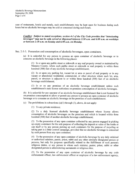Alcoholic Beverage Memorandum September 29, 2008 Page <sup>3</sup> of <sup>6</sup>

case of restaurants, hotels and motels, such establishments may be kept open for business during such hours but no alcoholic beverages may be sold or consumed during such hours

restaurants, hotels and motels, such establishments may be kept open for business during such<br>it no alcoholic beverages may be sold or consumed during such hours.<br>Conflict: Subject to stated exceptions, section 4-1 of the er 29, 2008<br>f 6<br>restaurants, hotels and motels,<br>it no alcoholic beverages may be<br>**Conflict:** Subject to stated exc.<br>beverages" may not be sold, set<br>or between 2:30 a.m. on Sunda<sub>.</sub> Conflict: Subject to stated exceptions, section 4-1 of the C<br>beverages" may not be sold, served or dispensed between 2<br>or between 2:30 a.m. on Sunday and 6:00 a.m. on Monday.

Sec. 2-3-3. Possession and consumption of alcoholic beverages, open containers.

(a) It is unlawful for any person to possess an open container of alcoholic beverage or to consume an alcoholic beverage in the following places:

1 In ar upon any public street or sidewalk or any real property owned or maintained by Manatee County, where such public street or sidewalk or real property is within three hundred (300) feet of any alcoholic beverage establishment;

 $(2)$  In or upon any parking lot, vacant lot or area or parcel of real property or in any vacant or abandoned residential, commercial, or other structure where such lot, area, parcel, or structure is adjacent to or within three hundred (300) feet of an alcoholic beverage establishment For any property of an alcoholic street of state in the property of the bundred (300) feet of any alcoholic beverage establishment;<br>(2) In or upon any parking lot, vacant lot or area or parcel of real property or in an<br>vac

(3) In or on any premises of an alcoholic beverage establishment unless such establishment's state license authorizes on-premises consumption of alcoholic beverages.

(b) It is unlawful for any operator of an alcoholic beverage establishment that is not licensed for on-premises consumption of alcoholic beverage establishment that is not licensed for<br>on-premises consumption to allow or permit any person to possess an open container of alcoholic<br>beverage or to consume an alcoholic bever beverage or to consume an alcoholic beverage on the premises of such establishment on-premises consumption to allow or permit any person to possess an open container of alcoholic beverage or to consume an alcoholic beverage on the premises of such establishment.<br>(c) The prohibitions in subsections  $(a)(1)$ 

 $(1)$  To any private residence;

2 To <sup>a</sup> duly licensed alcoholic beverage establishment whose license allows consumption of alcoholic beverages on the premises and which is located within three hundred (300) feet of another alcoholic beverage establishment:

(3) To the possession of any open container collected by any person engaged in picking up empty containers for the sole purpose of collecting the deposit or value of the bottle or can itself or by any person picking up such containers for the purpose of recycling or taking part in a litter control campaign, provided that no alcoholic beverage is consumed by such person from any open container

(4) To the possession of any open container of alcoholic beverage by any duly ordained or authorized minister, pastor, priest, rabbi and any other similarly designated person or persons, but only for purposes specifically related to the fulfillment of such person's by such person from any open container;<br>
(4) To the possession of any open container of alcoholic beverage by any duly ordained<br>
or authorized minister, pastor, priest, rabbi and any other similarly designated person or<br>
p designated person is administering sacraments or religious rites

5 To the possession of any open container of alcoholic beverage by any code enforcement officer, law enforcement officer or employee of a law enforcement agency,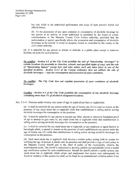but only while in the authorized performance and scope of such person's lawful and official duties;

6 To the possession ofany open container or consumption of aicoholic beverage by any person at an activity or event authorized or permitted by the board of county commissioners or the Manatee County Civic Center authority provided that the authorization or permit specifically allows the possession and consumption of alcoholic beverages at the activity or event on property owned or controlled by the county or the civic center authority

(d) It is unlawful for any person to urinate or defecate in a public place except in restroom facilities set aside for such purposes

No conflict: Section 4.2 of the City Code prohibits the sale of "intoxicating beverages" in *conflict:* Section 4.2 of the City Code promibits the sale of "intoxicating beverages" in certain locations (in proximity to churches, schools, and specified rights of way), and the sale of "intoxicating liquors" except b of "intoxicating liquors" except beer and wine unless such sale takes place in one of the c Beverage Memora<br>
er 29, 2008<br>
f 6<br>
but only<br>
official du<br>
(6) To th<br>
any persc<br>
commissic<br>
commissic<br>
authorizat<br>
beverages<br>
civic cent<br>
(d) It is unlawfu<br>
facilities set aside<br>
<u>No conflict:</u> Sec<br>
certain locations<br>
of alcoholic beverages - - only the consumption and possession of open containers. specified locations. Section 2-3-3 of the County ordinance does not address the sale of<br>alcoholic beverages - - only the consumption and possession of open containers.<br>No conflict: The City Code does not regulate possessio

beverages.

Conflict: Section 4-3 of the City Code prohibits the consumption of any alcoholic beverage<br>containing more than 1% of alcohol in designated locations **Conflict:** Section 4-3 of the City Code prohibits the consinglent consinglent consinglent consinglent containing more than 1% of alcohol in designated locations. containing more than 1% of alcohol in designated locations.<br>Sec. 2-3-4. Persons under twenty-one years of age in stand alone bars or nightclubs.

(a) It shall be unlawful for any person under the age of twenty-one  $(21)$  to enter or remain on the age of  $\epsilon$  or any to the state of  $\epsilon$  or  $\epsilon$  or  $\epsilon$  or  $\epsilon$  or  $\epsilon$  or  $\epsilon$  or  $\epsilon$  or  $\epsilon$  or  $\epsilon$  or  $\epsilon$  or  $\epsilon$  (a) It shall be unlawful for any person under the age of twenty-one  $(21)$  to enter or remain on the premises of any stand alone bar or nightclub while that establishment is selling and/or serving alcoholic beverages for consumption on the premises

(b) It shall be unlawful for any person to present any false, altered or otherwise fraudulent proof of age to attempt to gain entry to, any stand alone bar or nightclub while that establishment is selling and/or serving alcoholic beverages for consumption on the premises.

(c) It shall be unlawful for any stand alone bar or nightclub, or any employee or agent thereof, to knowingly admit, or permit to remain on the premises of such establishment any person under the age of twenty-one (21) while that establishment is selling and/or serving alcoholic beverages for consumption on the premises consumption on the premises

(d) Each stand alone bar or nightclub shall develop a written policy setting forth its system for verifying the age of persons it admits onto its premises and shall provide a copy of such policy to the Manatee County Sheriff and to the chief of police of the municipality wherein the establishment exists. The sheriff is authorized to develop, publish and periodically revise a model age verification system for such establishments. Should the sheriff publish a model system, any stand alone bar or nightclub which adopts and implements that system may subsequently be found in violation of this section but shall not be fined for an unintentional violation unless it has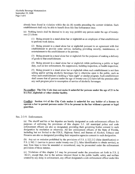already been found in violation within the six  $(6)$  months preceding the current violation. Each establishment shall only be able to benefit from this fine forbearance once

(e) Nothing herein shall be deemed to in any way prohibit any person under the age of twentyone  $(21)$  from:

 $1$ ) Being present in a stand alone bar or nightclub as an employee of that establishment to perform work duties

2 Being present in <sup>a</sup> stand alone bar or nightclub pursuant to an agreement with that establishment to provide some service, including providing security, maintenance, or entertainment to the establishment or its patrons:

 $3$  Being present in a stand alone bar or nightclub for the purposes of making a delivery of goods to that establishment:

4 Being present in <sup>a</sup> stand alone bar or nightclub while performing <sup>a</sup> public or legal duty, such as law enforcement, fire suppression, building inspection, or health inspection;

(5) Being present in a stand alone bar or nightclub when such establishment is not then selling and/or serving alcoholic beverages but is otherwise open to the public, such as duty, such as law enforcement, fire suppression, building inspection, or health inspection;<br>(5) Being present in a stand alone bar or nightclub when such establishment is not ther<br>selling and/or serving alcoholic beverages when such establishment is holding a "teen night" or similar program. Such establishment shall ensure that all persons under the age of twenty-one (21) have left the premises after any such program prior to resumption of service of alcoholic beverages.

No conflict: The City Code does not make it unlawful for persons under the age of 21 to be in a bar, nightclub or other similar facility.

Conflict: Section 4-4 of the City Code makes it unlawful for any holder of a license to operate <sup>a</sup> bar to permit persons under <sup>18</sup> to be present in the bar without a parent or legal guardian Conflict: Section<br>
operate a bar to p<br>
guardian.<br>
Sec. 2-3-9. Enforcement.<br>
(a) The sheriff and

(a) The sheriff and his or her deputies are hereby designated as code enforcement officers for purposes of enforcing the provisions of this chapter 2-3. All municipal police and code enforcement officers are also so designated, providing their governing bodies consent to such designation by resolution or otherwise All law enforcement officers of the State of Florida including but not limited to the FDLE, Highway Patrol, and Bureau of Alcohol, Tobacco and Firearms are also so designated providing their respective agencies consent to such designation

Firemeters are also so designated providing their respective agencies consent to such designation.<br>(b) Any act or omission prohibited by the provisions of F.S.  $\S$  322.212 (false identification) or (b) Any act or omission prohibited by the provisions of F.S.  $\S$  322.212 (false identification) or F.S.  $\S$  562.11 (service to person under twenty-one (21), false identification to obtain service), as may from time to time be amended or renumbered, may be prosecuted under the enforcement provisions of those statutes.

provisions of this chapter 2-3 may be processed under the procedures set forth in F.S. 162.21, except that, due to the serious inherent threat to the public health, safety and welfare created by any delay in enforcement, any officer designated a code enforcement officer under this